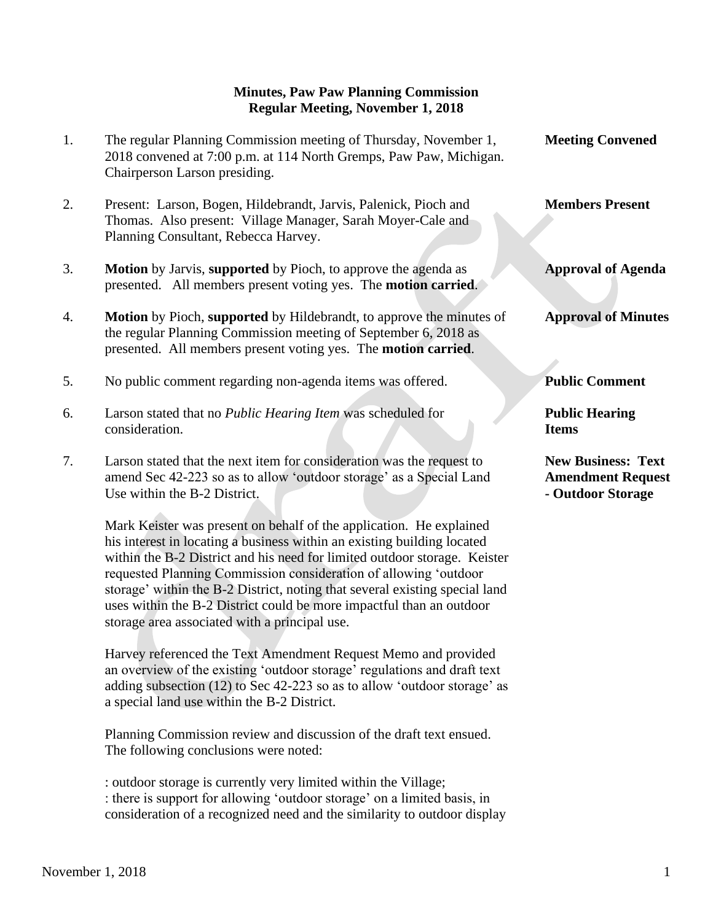## **Minutes, Paw Paw Planning Commission Regular Meeting, November 1, 2018**

1. The regular Planning Commission meeting of Thursday, November 1, **Meeting Convened** 2018 convened at 7:00 p.m. at 114 North Gremps, Paw Paw, Michigan. Chairperson Larson presiding. 2. Present: Larson, Bogen, Hildebrandt, Jarvis, Palenick, Pioch and **Members Present** Thomas. Also present: Village Manager, Sarah Moyer-Cale and Planning Consultant, Rebecca Harvey. 3. **Motion** by Jarvis, **supported** by Pioch, to approve the agenda as **Approval of Agenda** presented. All members present voting yes. The **motion carried**. 4. **Motion** by Pioch, **supported** by Hildebrandt, to approve the minutes of **Approval of Minutes** the regular Planning Commission meeting of September 6, 2018 as presented. All members present voting yes. The **motion carried**. 5. No public comment regarding non-agenda items was offered. **Public Comment** 6. Larson stated that no *Public Hearing Item* was scheduled for **Public Hearing** consideration. **Items** 7. Larson stated that the next item for consideration was the request to **New Business: Text**  amend Sec 42-223 so as to allow 'outdoor storage' as a Special Land **Amendment Request** Use within the B-2 District. **- Outdoor Storage** 

Mark Keister was present on behalf of the application. He explained his interest in locating a business within an existing building located within the B-2 District and his need for limited outdoor storage. Keister requested Planning Commission consideration of allowing 'outdoor storage' within the B-2 District, noting that several existing special land uses within the B-2 District could be more impactful than an outdoor storage area associated with a principal use.

Harvey referenced the Text Amendment Request Memo and provided an overview of the existing 'outdoor storage' regulations and draft text adding subsection (12) to Sec 42-223 so as to allow 'outdoor storage' as a special land use within the B-2 District.

Planning Commission review and discussion of the draft text ensued. The following conclusions were noted:

: outdoor storage is currently very limited within the Village; : there is support for allowing 'outdoor storage' on a limited basis, in consideration of a recognized need and the similarity to outdoor display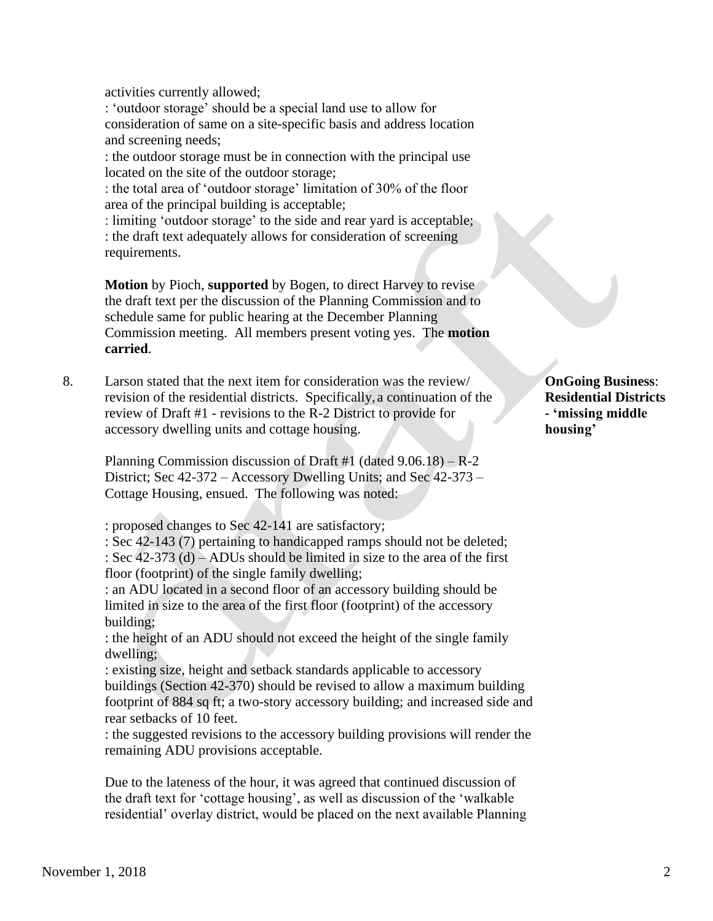activities currently allowed;

: 'outdoor storage' should be a special land use to allow for consideration of same on a site-specific basis and address location and screening needs;

: the outdoor storage must be in connection with the principal use located on the site of the outdoor storage;

: the total area of 'outdoor storage' limitation of 30% of the floor area of the principal building is acceptable;

: limiting 'outdoor storage' to the side and rear yard is acceptable; : the draft text adequately allows for consideration of screening requirements.

**Motion** by Pioch, **supported** by Bogen, to direct Harvey to revise the draft text per the discussion of the Planning Commission and to schedule same for public hearing at the December Planning Commission meeting. All members present voting yes. The **motion carried**.

8. Larson stated that the next item for consideration was the review/ **OnGoing Business**: revision of the residential districts. Specifically, a continuation of the **Residential Districts** review of Draft #1 - revisions to the R-2 District to provide for **- 'missing middle** accessory dwelling units and cottage housing. **housing'**

Planning Commission discussion of Draft #1 (dated  $9.06.18$ ) – R-2 District; Sec 42-372 – Accessory Dwelling Units; and Sec 42-373 – Cottage Housing, ensued. The following was noted:

: proposed changes to Sec 42-141 are satisfactory;

 : Sec 42-143 (7) pertaining to handicapped ramps should not be deleted; : Sec 42-373 (d) – ADUs should be limited in size to the area of the first floor (footprint) of the single family dwelling;

 : an ADU located in a second floor of an accessory building should be limited in size to the area of the first floor (footprint) of the accessory building;

 : the height of an ADU should not exceed the height of the single family dwelling;

 : existing size, height and setback standards applicable to accessory buildings (Section 42-370) should be revised to allow a maximum building footprint of 884 sq ft; a two-story accessory building; and increased side and rear setbacks of 10 feet.

 : the suggested revisions to the accessory building provisions will render the remaining ADU provisions acceptable.

 Due to the lateness of the hour, it was agreed that continued discussion of the draft text for 'cottage housing', as well as discussion of the 'walkable residential' overlay district, would be placed on the next available Planning